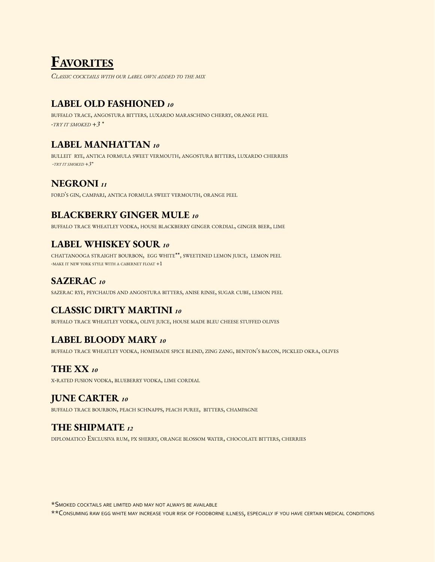# **FAVORITES**

*CLASSIC COCKTAILS WITH OUR LABEL OWN ADDED TO THE MIX*

## **LABEL OLD FASHIONED** *<sup>10</sup>*

BUFFALO TRACE, ANGOSTURA BITTERS, LUXARDO MARASCHINO CHERRY, ORANGE PEEL *-TRY IT SMOKED +3 \**

## **LABEL MANHATTAN** *<sup>10</sup>*

BULLEIT RYE, ANTICA FORMULA SWEET VERMOUTH, ANGOSTURA BITTERS, LUXARDO CHERRIES *-TRY IT SMOKED +3\**

## **NEGRONI** *<sup>11</sup>*

FORD'<sup>S</sup> GIN, CAMPARI, ANTICA FORMULA SWEET VERMOUTH, ORANGE PEEL

## **BLACKBERRY GINGER MULE** *<sup>10</sup>*

BUFFALO TRACE WHEATLEY VODKA, HOUSE BLACKBERRY GINGER CORDIAL, GINGER BEER, LIME

## **LABEL WHISKEY SOUR** *<sup>10</sup>*

CHATTANOOGA STRAIGHT BOURBON, EGG WHITE\*\*, SWEETENED LEMON JUICE, LEMON PEEL -MAKE IT NEW YORK STYLE WITH A CABERNET FLOAT +1

## **SAZERAC** *<sup>10</sup>*

SAZERAC RYE, PEYCHAUDS AND ANGOSTURA BITTERS, ANISE RINSE, SUGAR CUBE, LEMON PEEL

## **CLASSIC DIRTY MARTINI** *<sup>10</sup>*

BUFFALO TRACE WHEATLEY VODKA, OLIVE JUICE, HOUSE MADE BLEU CHEESE STUFFED OLIVES

## **LABEL BLOODY MARY** *<sup>10</sup>*

BUFFALO TRACE WHEATLEY VODKA, HOMEMADE SPICE BLEND, ZING ZANG, BENTON'<sup>S</sup> BACON, PICKLED OKRA, OLIVES

## **THE XX** *<sup>10</sup>*

<sup>X</sup>-RATED FUSION VODKA, BLUEBERRY VODKA, LIME CORDIAL

## **JUNE CARTER** *<sup>10</sup>*

BUFFALO TRACE BOURBON, PEACH SCHNAPPS, PEACH PUREE, BITTERS, CHAMPAGNE

## **THE SHIPMATE** *<sup>12</sup>*

DIPLOMATICO EXCLUSIVA RUM, PX SHERRY, ORANGE BLOSSOM WATER, CHOCOLATE BITTERS, CHERRIES

\*SMOKED COCKTAILS ARE LIMITED AND MAY NOT ALWAYS BE AVAILABLE

\*\*CONSUMING RAW EGG WHITE MAY INCREASE YOUR RISK OF FOODBORNE ILLNESS, ESPECIALLY IF YOU HAVE CERTAIN MEDICAL CONDITIONS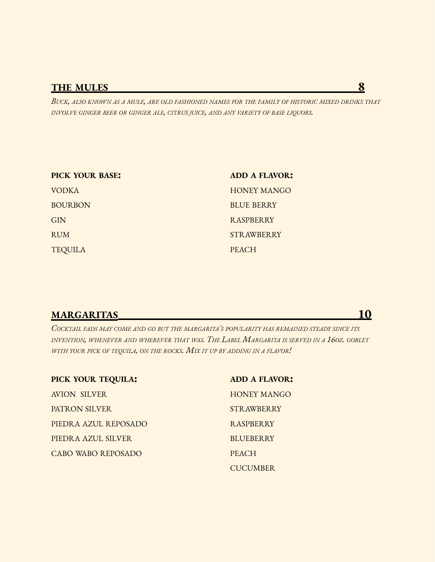## **THE MULES 8**

BUCK, ALSO KNOWN AS A MULE, ARE OLD FASHIONED NAMES FOR THE FAMILY OF HISTORIC MIXED DRINKS THAT *INVOLVE GINGER BEER OR GINGER ALE, CITRUS JUICE, AND ANY VARIETY OF BASE LIQUORS.*

| PICK YOUR BASE: | <b>ADD A FLAVOR:</b> |
|-----------------|----------------------|
| <b>VODKA</b>    | <b>HONEY MANGO</b>   |
| <b>BOURBON</b>  | <b>BLUE BERRY</b>    |
| <b>GIN</b>      | <b>RASPBERRY</b>     |
| <b>RUM</b>      | <b>STRAWBERRY</b>    |
| <b>TEQUILA</b>  | <b>PEACH</b>         |

## **MARGARITAS 10**

*COCKTAIL FADS MAY COME AND GO BUT THE MARGARITA'<sup>S</sup> POPULARITY HAS REMAINED STEADY SINCE ITS* INVENTION, WHENEVER AND WHEREVER THAT WAS. THE LABEL MARGARITA IS SERVED IN A 160Z. GOBLET *WITH YOUR PICK OF TEQUILA, ON THE ROCKS. MIX IT UP BY ADDING IN <sup>A</sup> FLAVOR!*

| PICK YOUR TEQUILA:   | <b>ADD A FLAVOR:</b> |
|----------------------|----------------------|
| <b>AVION SILVER</b>  | <b>HONEY MANGO</b>   |
| PATRON SILVER        | <b>STRAWBERRY</b>    |
| PIEDRA AZUL REPOSADO | <b>RASPBERRY</b>     |
| PIEDRA AZUL SILVER   | <b>BLUEBERRY</b>     |
| CABO WABO REPOSADO   | <b>PEACH</b>         |
|                      | <b>CUCUMBER</b>      |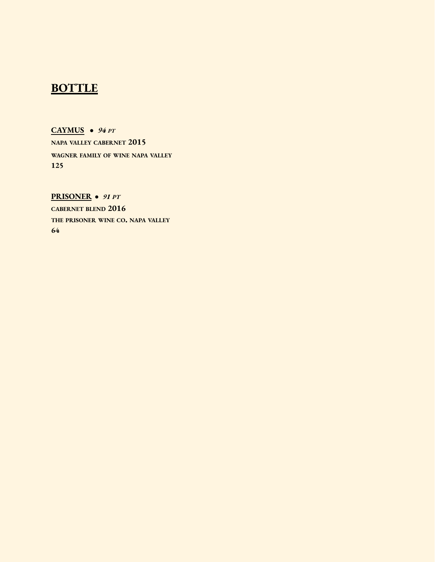## **BOTTLE**

**CAYMUS** *● 94 PT* **NAPA VALLEY CABERNET 2015 WAGNER FAMILY OF WINE NAPA VALLEY 125**

**PRISONER** *● 91 PT* **CABERNET BLEND 2016 THE PRISONER WINE CO. NAPA VALLEY 64**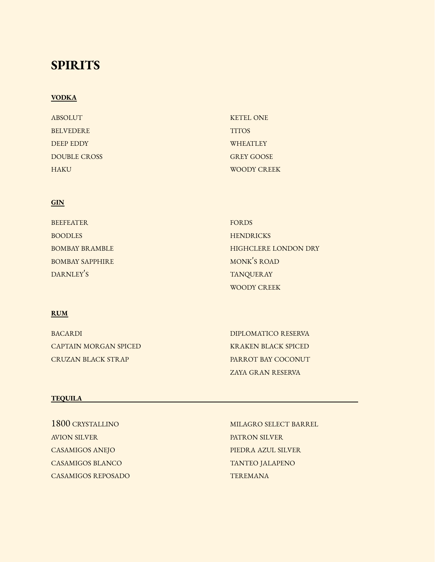# **SPIRITS**

#### **VODKA**

| ABSOLUT             | <b>KETEL ONE</b>  |
|---------------------|-------------------|
| <b>BELVEDERE</b>    | <b>TITOS</b>      |
| DEEP EDDY           | <b>WHEATLEY</b>   |
| <b>DOUBLE CROSS</b> | <b>GREY GOOSE</b> |
| <b>HAKU</b>         | WOODY CREEK       |

#### **GIN**

| <b>BEEFEATER</b>       | FORDS                       |
|------------------------|-----------------------------|
| <b>BOODLES</b>         | <b>HENDRICKS</b>            |
| <b>BOMBAY BRAMBLE</b>  | <b>HIGHCLERE LONDON DRY</b> |
| <b>BOMBAY SAPPHIRE</b> | MONK'S ROAD                 |
| DARNLEY'S              | <b>TANQUERAY</b>            |
|                        | <b>WOODY CREEK</b>          |

### **RUM**

| <b>BACARDI</b>        | DIPLOMATICO RESERVA      |
|-----------------------|--------------------------|
| CAPTAIN MORGAN SPICED | KRAKEN BLACK SPICED      |
| CRUZAN BLACK STR AP   | PARROT BAY COCONUT       |
|                       | <b>ZAYA GRAN RESERVA</b> |

### **TEQUILA**

1800 CRYSTALLINO AVION SILVER CASAMIGOS ANEJO CASAMIGOS BLANCO CASAMIGOS REPOSADO

MILAGRO SELECT BARREL PATRON SILVER PIEDRA AZUL SILVER TANTEO JALAPENO TEREMANA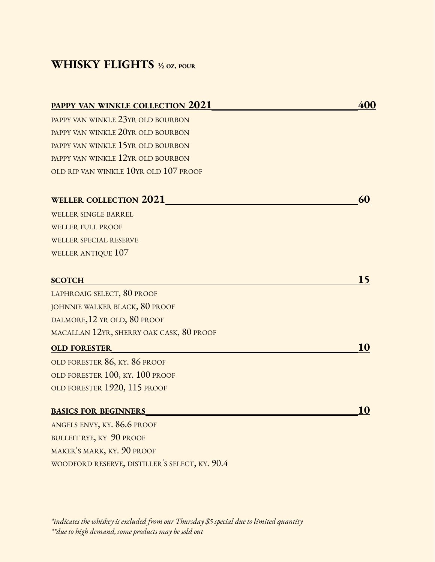# **WHISKY FLIGHTS ½ OZ. POUR**

| <b>PAPPY VAN WINKLE COLLECTION 2021</b>        | 400 |
|------------------------------------------------|-----|
| PAPPY VAN WINKLE 23YR OLD BOURBON              |     |
| PAPPY VAN WINKLE 20YR OLD BOURBON              |     |
| PAPPY VAN WINKLE 15YR OLD BOURBON              |     |
| PAPPY VAN WINKLE 12YR OLD BOURBON              |     |
| OLD RIP VAN WINKLE 10YR OLD 107 PROOF          |     |
| <b>WELLER COLLECTION 2021</b>                  | 60  |
| WELLER SINGLE BARREL                           |     |
| <b>WELLER FULL PROOF</b>                       |     |
| <b>WELLER SPECIAL RESERVE</b>                  |     |
| WELLER ANTIQUE 107                             |     |
| <b>SCOTCH</b>                                  | 15  |
| LAPHROAIG SELECT, 80 PROOF                     |     |
| JOHNNIE WALKER BLACK, 80 PROOF                 |     |
| DALMORE, 12 YR OLD, 80 PROOF                   |     |
| MACALLAN 12YR, SHERRY OAK CASK, 80 PROOF       |     |
| <b>OLD FORESTER</b>                            | 10  |
| OLD FORESTER 86, KY. 86 PROOF                  |     |
| OLD FORESTER 100, KY. 100 PROOF                |     |
| OLD FORESTER 1920, 115 PROOF                   |     |
| <b>BASICS FOR BEGINNERS</b>                    | 10  |
| ANGELS ENVY, KY. 86.6 PROOF                    |     |
| BULLEIT RYE, KY 90 PROOF                       |     |
| MAKER'S MARK, KY. 90 PROOF                     |     |
| WOODFORD RESERVE, DISTILLER'S SELECT, KY. 90.4 |     |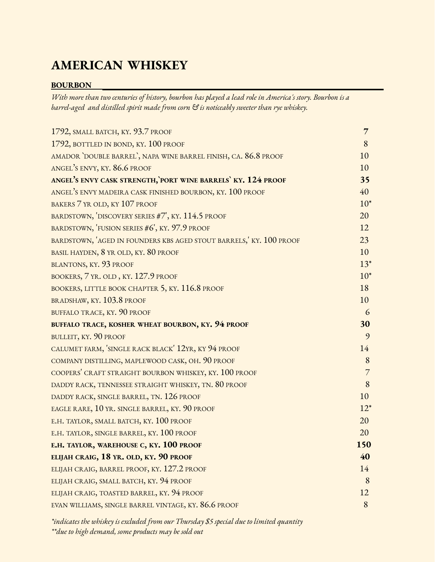# **AMERICAN WHISKEY**

### **BOURBON**

With more than two centuries of history, bourbon has played a lead role in America's story. Bourbon is a *barrel-aged and distilled spirit made from corn & is noticeably sweeter than rye whiskey.*

| 1792, SMALL BATCH, KY. 93.7 PROOF                                 | $\overline{7}$ |
|-------------------------------------------------------------------|----------------|
| 1792, BOTTLED IN BOND, KY. 100 PROOF                              | 8              |
| AMADOR `DOUBLE BARREL`, NAPA WINE BARREL FINISH, CA. 86.8 PROOF   | 10             |
| ANGEL'S ENVY, KY. 86.6 PROOF                                      | 10             |
| ANGEL'S ENVY CASK STRENGTH, PORT WINE BARRELS' KY. 124 PROOF      | 35             |
| ANGEL'S ENVY MADEIRA CASK FINISHED BOURBON, KY. 100 PROOF         | 40             |
| BAKERS 7 YR OLD, KY 107 PROOF                                     | $10*$          |
| BARDSTOWN, 'DISCOVERY SERIES #7', KY. 114.5 PROOF                 | 20             |
| BARDSTOWN, 'FUSION SERIES #6', KY. 97.9 PROOF                     | 12             |
| BARDSTOWN, AGED IN FOUNDERS KBS AGED STOUT BARRELS, KY. 100 PROOF | 23             |
| BASIL HAYDEN, 8 YR OLD, KY. 80 PROOF                              | 10             |
| BLANTONS, KY. 93 PROOF                                            | $13*$          |
| BOOKERS, 7 YR. OLD, KY. 127.9 PROOF                               | $10*$          |
| BOOKERS, LITTLE BOOK CHAPTER 5, KY. 116.8 PROOF                   | 18             |
| BRADSHAW, KY. 103.8 PROOF                                         | 10             |
| BUFFALO TRACE, KY. 90 PROOF                                       | 6              |
| <b>BUFFALO TRACE, KOSHER WHEAT BOURBON, KY. 94 PROOF</b>          | 30             |
| BULLEIT, KY. 90 PROOF                                             | 9              |
| CALUMET FARM, 'SINGLE RACK BLACK' 12YR, KY 94 PROOF               | 14             |
| COMPANY DISTILLING, MAPLEWOOD CASK, OH. 90 PROOF                  | 8              |
| COOPERS' CRAFT STRAIGHT BOURBON WHISKEY, KY. 100 PROOF            | $\overline{7}$ |
| DADDY RACK, TENNESSEE STRAIGHT WHISKEY, TN. 80 PROOF              | 8              |
| DADDY RACK, SINGLE BARREL, TN. 126 PROOF                          | 10             |
| EAGLE RARE, 10 YR. SINGLE BARREL, KY. 90 PROOF                    | $12*$          |
| E.H. TAYLOR, SMALL BATCH, KY. 100 PROOF                           | 20             |
| E.H. TAYLOR, SINGLE BARREL, KY. 100 PROOF                         | 20             |
| E.H. TAYLOR, WAREHOUSE C, KY. 100 PROOF                           | 150            |
| ELIJAH CRAIG, 18 YR. OLD, KY. 90 PROOF                            | 40             |
| ELIJAH CRAIG, BARREL PROOF, KY. 127.2 PROOF                       | 14             |
| ELIJAH CRAIG, SMALL BATCH, KY. 94 PROOF                           | 8              |
| ELIJAH CRAIG, TOASTED BARREL, KY. 94 PROOF                        | 12             |
| EVAN WILLIAMS, SINGLE BARREL VINTAGE, KY. 86.6 PROOF              | 8              |

*\*indicates the whiskey is excluded from our Thursday \$5 special due to limited quantity \*\*due to high demand, some products may be sold out*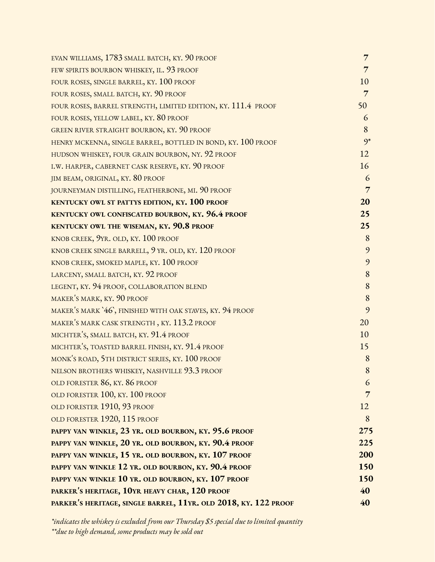| EVAN WILLIAMS, 1783 SMALL BATCH, KY. 90 PROOF                   | $7\overline{ }$ |
|-----------------------------------------------------------------|-----------------|
| FEW SPIRITS BOURBON WHISKEY, IL. 93 PROOF                       | $\overline{7}$  |
| FOUR ROSES, SINGLE BARREL, KY. 100 PROOF                        | 10              |
| FOUR ROSES, SMALL BATCH, KY. 90 PROOF                           | $\overline{7}$  |
| FOUR ROSES, BARREL STRENGTH, LIMITED EDITION, KY. 111.4 PROOF   | 50              |
| FOUR ROSES, YELLOW LABEL, KY. 80 PROOF                          | 6               |
| <b>GREEN RIVER STRAIGHT BOURBON, KY. 90 PROOF</b>               | 8               |
| HENRY MCKENNA, SINGLE BARREL, BOTTLED IN BOND, KY. 100 PROOF    | $9*$            |
| HUDSON WHISKEY, FOUR GRAIN BOURBON, NY. 92 PROOF                | 12              |
| I.W. HARPER, CABERNET CASK RESERVE, KY. 90 PROOF                | 16              |
| JIM BEAM, ORIGINAL, KY. 80 PROOF                                | 6               |
| JOURNEYMAN DISTILLING, FEATHERBONE, MI. 90 PROOF                | 7               |
| <b>KENTUCKY OWL ST PATTYS EDITION, KY. 100 PROOF</b>            | 20              |
| <b>KENTUCKY OWL CONFISCATED BOURBON, KY. 96.4 PROOF</b>         | 25              |
| <b>KENTUCKY OWL THE WISEMAN, KY. 90.8 PROOF</b>                 | 25              |
| KNOB CREEK, 9YR. OLD, KY. 100 PROOF                             | 8               |
| KNOB CREEK SINGLE BARRELL, 9 YR. OLD, KY. 120 PROOF             | 9               |
| KNOB CREEK, SMOKED MAPLE, KY. 100 PROOF                         | 9               |
| LARCENY, SMALL BATCH, KY. 92 PROOF                              | 8               |
| LEGENT, KY. 94 PROOF, COLLABORATION BLEND                       | 8               |
| MAKER'S MARK, KY. 90 PROOF                                      | 8               |
| MAKER'S MARK '46', FINISHED WITH OAK STAVES, KY. 94 PROOF       | 9               |
| MAKER'S MARK CASK STRENGTH, KY. 113.2 PROOF                     | 20              |
| MICHTER'S, SMALL BATCH, KY. 91.4 PROOF                          | 10              |
| MICHTER'S, TOASTED BARREL FINISH, KY. 91.4 PROOF                | 15              |
| MONK'S ROAD, 5TH DISTRICT SERIES, KY. 100 PROOF                 | 8               |
| NELSON BROTHERS WHISKEY, NASHVILLE 93.3 PROOF                   | 8               |
| OLD FORESTER 86, KY. 86 PROOF                                   | 6               |
| OLD FORESTER 100, KY. 100 PROOF                                 | 7               |
| OLD FORESTER 1910, 93 PROOF                                     | 12              |
| OLD FORESTER 1920, 115 PROOF                                    | 8               |
| PAPPY VAN WINKLE, 23 YR. OLD BOURBON, KY. 95.6 PROOF            | 275             |
| PAPPY VAN WINKLE, 20 YR. OLD BOURBON, KY. 90.4 PROOF            | 225             |
| PAPPY VAN WINKLE, 15 YR. OLD BOURBON, KY. 107 PROOF             | 200             |
| PAPPY VAN WINKLE 12 YR. OLD BOURBON, KY. 90.4 PROOF             | 150             |
| PAPPY VAN WINKLE 10 YR. OLD BOURBON, KY. 107 PROOF              | <b>150</b>      |
| PARKER'S HERITAGE, 10YR HEAVY CHAR, 120 PROOF                   | 40              |
| PARKER'S HERITAGE, SINGLE BARREL, 11YR. OLD 2018, KY. 122 PROOF | 40              |

*\*indicates the whiskey is excluded from our Thursday \$5 special due to limited quantity \*\*due to high demand, some products may be sold out*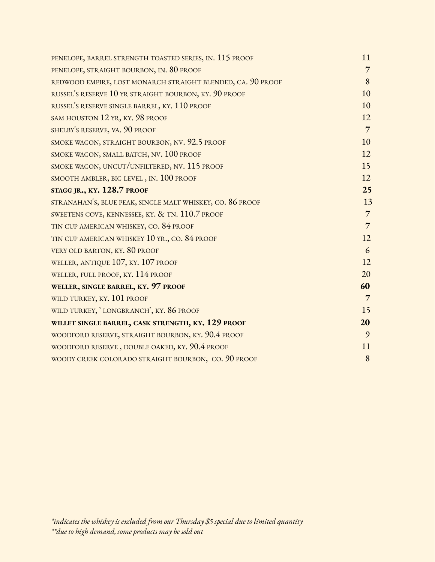| PENELOPE, BARREL STRENGTH TOASTED SERIES, IN. 115 PROOF     | 11             |
|-------------------------------------------------------------|----------------|
| PENELOPE, STRAIGHT BOURBON, IN. 80 PROOF                    | $\overline{7}$ |
| REDWOOD EMPIRE, LOST MONARCH STRAIGHT BLENDED, CA. 90 PROOF | 8              |
| RUSSEL'S RESERVE 10 YR STRAIGHT BOURBON, KY. 90 PROOF       | 10             |
| RUSSEL'S RESERVE SINGLE BARREL, KY. 110 PROOF               | 10             |
| SAM HOUSTON 12 YR, KY. 98 PROOF                             | 12             |
| SHELBY'S RESERVE, VA. 90 PROOF                              | $\overline{7}$ |
| SMOKE WAGON, STRAIGHT BOURBON, NV. 92.5 PROOF               | 10             |
| SMOKE WAGON, SMALL BATCH, NV. 100 PROOF                     | 12             |
| SMOKE WAGON, UNCUT/UNFILTERED, NV. 115 PROOF                | 15             |
| SMOOTH AMBLER, BIG LEVEL, IN. 100 PROOF                     | 12             |
| STAGG JR., KY. 128.7 PROOF                                  | 25             |
| STRANAHAN'S, BLUE PEAK, SINGLE MALT WHISKEY, CO. 86 PROOF   | 13             |
| SWEETENS COVE, KENNESSEE, KY. & TN. 110.7 PROOF             | $\overline{7}$ |
| TIN CUP AMERICAN WHISKEY, CO. 84 PROOF                      | $\overline{7}$ |
| TIN CUP AMERICAN WHISKEY 10 YR., CO. 84 PROOF               | 12             |
| VERY OLD BARTON, KY. 80 PROOF                               | 6              |
| WELLER, ANTIQUE 107, KY. 107 PROOF                          | 12             |
| WELLER, FULL PROOF, KY. 114 PROOF                           | 20             |
| WELLER, SINGLE BARREL, KY. 97 PROOF                         | 60             |
| WILD TURKEY, KY. 101 PROOF                                  | $\overline{7}$ |
| WILD TURKEY, `LONGBRANCH`, KY. 86 PROOF                     | 15             |
| WILLET SINGLE BARREL, CASK STRENGTH, KY. 129 PROOF          | 20             |
| WOODFORD RESERVE, STRAIGHT BOURBON, KY. 90.4 PROOF          | 9              |
| WOODFORD RESERVE, DOUBLE OAKED, KY. 90.4 PROOF              | 11             |
| WOODY CREEK COLORADO STRAIGHT BOURBON, CO. 90 PROOF         | 8              |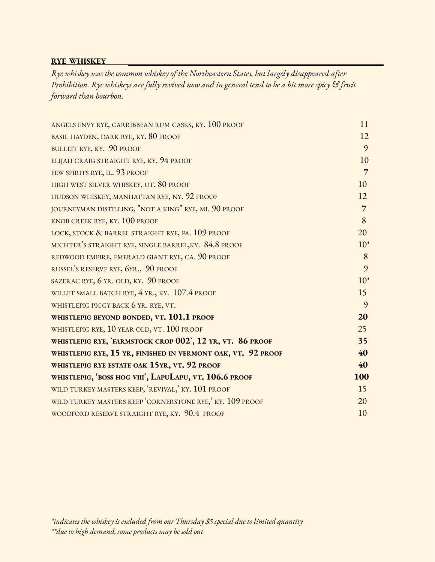#### **RYE WHISKEY**

*Rye whiskey was the common whiskey of the Northeastern States, but largely disappeared after* Prohibition. Rye whiskeys are fully revived now and in general tend to be a bit more spicy & fruit *forward than bourbon.*

| ANGELS ENVY RYE, CARRIBBEAN RUM CASKS, KY. 100 PROOF         | 11             |
|--------------------------------------------------------------|----------------|
| BASIL HAYDEN, DARK RYE, KY. 80 PROOF                         | 12             |
| BULLEIT RYE, KY. 90 PROOF                                    | 9              |
| ELIJAH CRAIG STRAIGHT RYE, KY. 94 PROOF                      | 10             |
| FEW SPIRITS RYE, IL. 93 PROOF                                | $\overline{7}$ |
| HIGH WEST SILVER WHISKEY, UT. 80 PROOF                       | 10             |
| HUDSON WHISKEY, MANHATTAN RYE, NY. 92 PROOF                  | 12             |
| JOURNEYMAN DISTILLING, "NOT A KING" RYE, MI. 90 PROOF        | $\overline{7}$ |
| KNOB CREEK RYE, KY. 100 PROOF                                | 8              |
| LOCK, STOCK & BARREL STRAIGHT RYE, PA. 109 PROOF             | 20             |
| MICHTER'S STRAIGHT RYE, SINGLE BARREL, KY. 84.8 PROOF        | $10*$          |
| REDWOOD EMPIRE, EMERALD GIANT RYE, CA. 90 PROOF              | 8              |
| RUSSEL'S RESERVE RYE, 6YR., 90 PROOF                         | 9              |
| SAZERAC RYE, 6 YR. OLD, KY. 90 PROOF                         | $10*$          |
| WILLET SMALL BATCH RYE, 4 YR., KY. 107.4 PROOF               | 15             |
| WHISTLEPIG PIGGY BACK 6 YR. RYE, VT.                         | 9              |
| WHISTLEPIG BEYOND BONDED, VT. 101.1 PROOF                    | 20             |
| WHISTLEPIG RYE, 10 YEAR OLD, VT. 100 PROOF                   | 25             |
| WHISTLEPIG RYE, FARMSTOCK CROP 002, 12 YR, VT. 86 PROOF      | 35             |
| WHISTLEPIG RYE, 15 YR, FINISHED IN VERMONT OAK, VT. 92 PROOF | 40             |
| WHISTLEPIG RYE ESTATE OAK 15YR, VT. 92 PROOF                 | 40             |
| WHISTLEPIG, 'BOSS HOG VIII', LAPULAPU, VT. 106.6 PROOF       | 100            |
| WILD TURKEY MASTERS KEEP, 'REVIVAL,' KY. 101 PROOF           | 15             |
| WILD TURKEY MASTERS KEEP CORNERSTONE RYE,' KY. 109 PROOF     | 20             |
| WOODFORD RESERVE STRAIGHT RYE, KY. 90.4 PROOF                | 10             |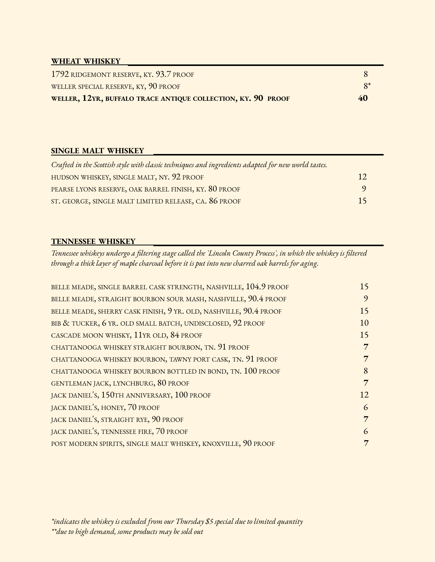### **WHEAT WHISKEY**

| WELLER SPECIAL RESERVE, KY, 90 PROOF<br>WELLER, 12YR, BUFFALO TRACE ANTIQUE COLLECTION, KY. 90 PROOF | 40 |
|------------------------------------------------------------------------------------------------------|----|
| 1792 RIDGEMONT RESERVE, KY. 93.7 PROOF                                                               |    |

#### **SINGLE MALT WHISKEY**

| Crafted in the Scottish style with classic techniques and ingredients adapted for new world tastes. |         |
|-----------------------------------------------------------------------------------------------------|---------|
| HUDSON WHISKEY, SINGLE MALT, NY. 92 PROOF                                                           | 12      |
| PEARSE LYONS RESERVE, OAK BARREL FINISH, KY. 80 PROOF                                               | $\circ$ |
| ST. GEORGE, SINGLE MALT LIMITED RELEASE, CA. 86 PROOF                                               | 15      |

#### **TENNESSEE WHISKEY**

Tennessee whiskeys undergo a filtering stage called the `Lincoln County Process`, in which the whiskey is filtered *through a thick layer of maple charcoal before it is put into new charred oak barrels for aging.*

| BELLE MEADE, SINGLE BARREL CASK STRENGTH, NASHVILLE, 104.9 PROOF  | 15 |
|-------------------------------------------------------------------|----|
| BELLE MEADE, STRAIGHT BOURBON SOUR MASH, NASHVILLE, 90.4 PROOF    | 9  |
| BELLE MEADE, SHERRY CASK FINISH, 9 YR. OLD, NASHVILLE, 90.4 PROOF | 15 |
| BIB & TUCKER, 6 YR. OLD SMALL BATCH, UNDISCLOSED, 92 PROOF        | 10 |
| CASCADE MOON WHISKY, 11YR OLD, 84 PROOF                           | 15 |
| CHATTANOOGA WHISKEY STRAIGHT BOURBON, TN. 91 PROOF                | 7  |
| CHATTANOOGA WHISKEY BOURBON, TAWNY PORT CASK, TN. 91 PROOF        | 7  |
| CHATTANOOGA WHISKEY BOURBON BOTTLED IN BOND, TN. 100 PROOF        | 8  |
| GENTLEMAN JACK, LYNCHBURG, 80 PROOF                               | 7  |
| JACK DANIEL'S, 150TH ANNIVERSARY, 100 PROOF                       | 12 |
| JACK DANIEL'S, HONEY, 70 PROOF                                    | 6  |
| JACK DANIEL'S, STRAIGHT RYE, 90 PROOF                             | 7  |
| JACK DANIEL'S, TENNESSEE FIRE, 70 PROOF                           | 6  |
| POST MODERN SPIRITS, SINGLE MALT WHISKEY, KNOXVILLE, 90 PROOF     | 7  |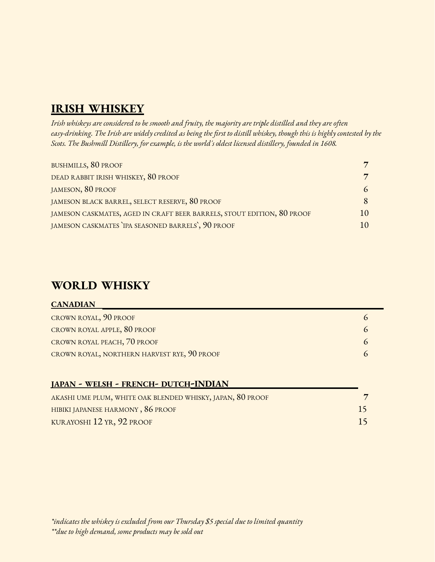# **IRISH WHISKEY**

Irish whiskeys are considered to be smooth and fruity, the majority are triple distilled and they are often easy-drinking. The Irish are widely credited as being the first to distill whiskey, though this is highly contested by the *Scots. The Bushmill Distillery, for example, is the world's oldest licensed distillery, founded in 1608.*

| BUSHMILLS, 80 PROOF                                                    | 7              |  |
|------------------------------------------------------------------------|----------------|--|
| DEAD RABBIT IRISH WHISKEY, 80 PROOF                                    | $\overline{7}$ |  |
| JAMESON, 80 PROOF                                                      | 6              |  |
| JAMESON BLACK BARREL, SELECT RESERVE, 80 PROOF                         |                |  |
| JAMESON CASKMATES, AGED IN CRAFT BEER BARRELS, STOUT EDITION, 80 PROOF | 1()            |  |
| JAMESON CASKMATES IPA SEASONED BARRELS, 90 PROOF                       |                |  |

## **WORLD WHISKY**

**CANADIAN**

| <b>JAPAN - WELSH - FRENCH- DUTCH-INDIAN</b>                |    |
|------------------------------------------------------------|----|
| AKASHI UME PLUM, WHITE OAK BLENDED WHISKY, JAPAN, 80 PROOF |    |
| HIBIKI JAPANESE HARMONY, 86 PROOF                          | 15 |
| KURAYOSHI 12 YR, 92 PROOF                                  | 15 |